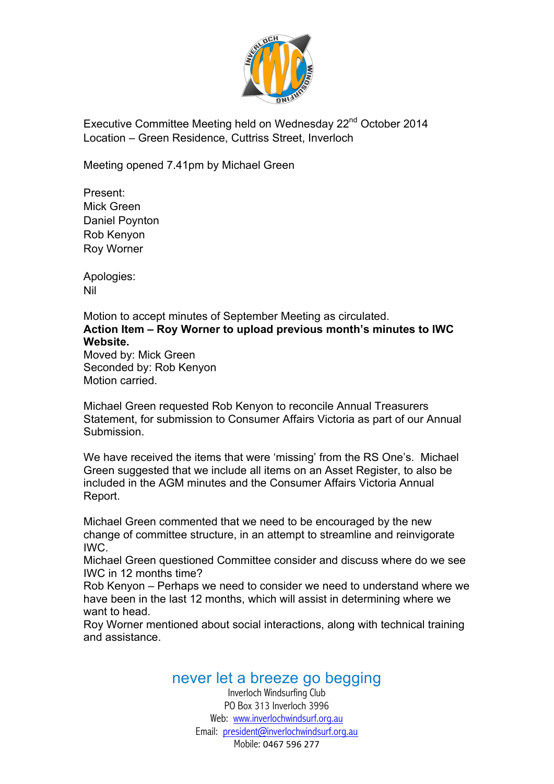

Executive Committee Meeting held on Wednesday 22<sup>nd</sup> October 2014 Location – Green Residence, Cuttriss Street, Inverloch

Meeting opened 7.41pm by Michael Green

Present: Mick Green Daniel Poynton Rob Kenyon Roy Worner

Apologies: Nil

Motion to accept minutes of September Meeting as circulated. **Action Item – Roy Worner to upload previous month's minutes to IWC Website.**

Moved by: Mick Green Seconded by: Rob Kenyon Motion carried.

Michael Green requested Rob Kenyon to reconcile Annual Treasurers Statement, for submission to Consumer Affairs Victoria as part of our Annual Submission.

We have received the items that were 'missing' from the RS One's. Michael Green suggested that we include all items on an Asset Register, to also be included in the AGM minutes and the Consumer Affairs Victoria Annual Report.

Michael Green commented that we need to be encouraged by the new change of committee structure, in an attempt to streamline and reinvigorate IWC.

Michael Green questioned Committee consider and discuss where do we see IWC in 12 months time?

Rob Kenyon – Perhaps we need to consider we need to understand where we have been in the last 12 months, which will assist in determining where we want to head.

Roy Worner mentioned about social interactions, along with technical training and assistance.

## never let a breeze go begging

Inverloch Windsurfing Club PO Box 313 Inverloch 3996 Web: www.inverlochwindsurf.org.au Email: president@inverlochwindsurf.org.au Mobile: 0467 596 277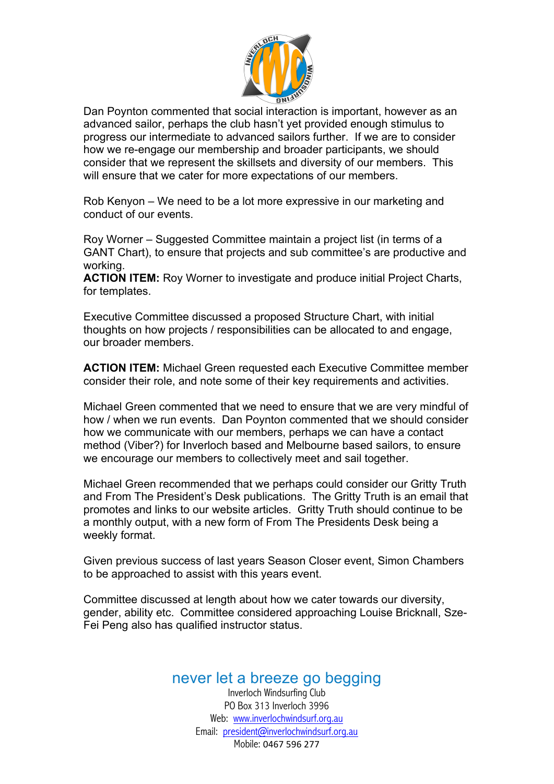

Dan Poynton commented that social interaction is important, however as an advanced sailor, perhaps the club hasn't yet provided enough stimulus to progress our intermediate to advanced sailors further. If we are to consider how we re-engage our membership and broader participants, we should consider that we represent the skillsets and diversity of our members. This will ensure that we cater for more expectations of our members.

Rob Kenyon – We need to be a lot more expressive in our marketing and conduct of our events.

Roy Worner – Suggested Committee maintain a project list (in terms of a GANT Chart), to ensure that projects and sub committee's are productive and working.

**ACTION ITEM:** Roy Worner to investigate and produce initial Project Charts, for templates.

Executive Committee discussed a proposed Structure Chart, with initial thoughts on how projects / responsibilities can be allocated to and engage, our broader members.

**ACTION ITEM:** Michael Green requested each Executive Committee member consider their role, and note some of their key requirements and activities.

Michael Green commented that we need to ensure that we are very mindful of how / when we run events. Dan Poynton commented that we should consider how we communicate with our members, perhaps we can have a contact method (Viber?) for Inverloch based and Melbourne based sailors, to ensure we encourage our members to collectively meet and sail together.

Michael Green recommended that we perhaps could consider our Gritty Truth and From The President's Desk publications. The Gritty Truth is an email that promotes and links to our website articles. Gritty Truth should continue to be a monthly output, with a new form of From The Presidents Desk being a weekly format.

Given previous success of last years Season Closer event, Simon Chambers to be approached to assist with this years event.

Committee discussed at length about how we cater towards our diversity, gender, ability etc. Committee considered approaching Louise Bricknall, Sze-Fei Peng also has qualified instructor status.

## never let a breeze go begging

Inverloch Windsurfing Club PO Box 313 Inverloch 3996 Web: www.inverlochwindsurf.org.au Email: president@inverlochwindsurf.org.au Mobile: 0467 596 277